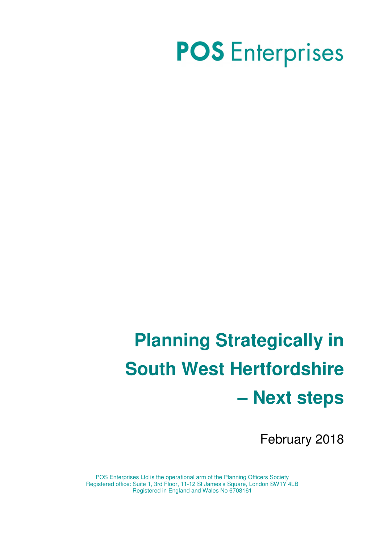# **POS** Enterprises

# **Planning Strategically in South West Hertfordshire – Next steps**

February 2018

POS Enterprises Ltd is the operational arm of the Planning Officers Society Registered office: Suite 1, 3rd Floor, 11-12 St James's Square, London SW1Y 4LB Registered in England and Wales No 6708161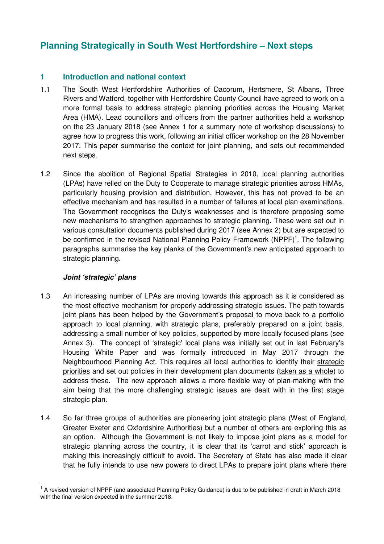# **Planning Strategically in South West Hertfordshire – Next steps**

# **1 Introduction and national context**

- 1.1 The South West Hertfordshire Authorities of Dacorum, Hertsmere, St Albans, Three Rivers and Watford, together with Hertfordshire County Council have agreed to work on a more formal basis to address strategic planning priorities across the Housing Market Area (HMA). Lead councillors and officers from the partner authorities held a workshop on the 23 January 2018 (see Annex 1 for a summary note of workshop discussions) to agree how to progress this work, following an initial officer workshop on the 28 November 2017. This paper summarise the context for joint planning, and sets out recommended next steps.
- 1.2 Since the abolition of Regional Spatial Strategies in 2010, local planning authorities (LPAs) have relied on the Duty to Cooperate to manage strategic priorities across HMAs, particularly housing provision and distribution. However, this has not proved to be an effective mechanism and has resulted in a number of failures at local plan examinations. The Government recognises the Duty's weaknesses and is therefore proposing some new mechanisms to strengthen approaches to strategic planning. These were set out in various consultation documents published during 2017 (see Annex 2) but are expected to be confirmed in the revised National Planning Policy Framework (NPPF)<sup>1</sup>. The following paragraphs summarise the key planks of the Government's new anticipated approach to strategic planning.

# **Joint 'strategic' plans**

- 1.3 An increasing number of LPAs are moving towards this approach as it is considered as the most effective mechanism for properly addressing strategic issues. The path towards joint plans has been helped by the Government's proposal to move back to a portfolio approach to local planning, with strategic plans, preferably prepared on a joint basis, addressing a small number of key policies, supported by more locally focused plans (see Annex 3). The concept of 'strategic' local plans was initially set out in last February's Housing White Paper and was formally introduced in May 2017 through the Neighbourhood Planning Act. This requires all local authorities to identify their strategic priorities and set out policies in their development plan documents (taken as a whole) to address these. The new approach allows a more flexible way of plan-making with the aim being that the more challenging strategic issues are dealt with in the first stage strategic plan.
- 1.4 So far three groups of authorities are pioneering joint strategic plans (West of England, Greater Exeter and Oxfordshire Authorities) but a number of others are exploring this as an option. Although the Government is not likely to impose joint plans as a model for strategic planning across the country, it is clear that its 'carrot and stick' approach is making this increasingly difficult to avoid. The Secretary of State has also made it clear that he fully intends to use new powers to direct LPAs to prepare joint plans where there

 $\overline{\phantom{a}}$ <sup>1</sup> A revised version of NPPF (and associated Planning Policy Guidance) is due to be published in draft in March 2018 with the final version expected in the summer 2018.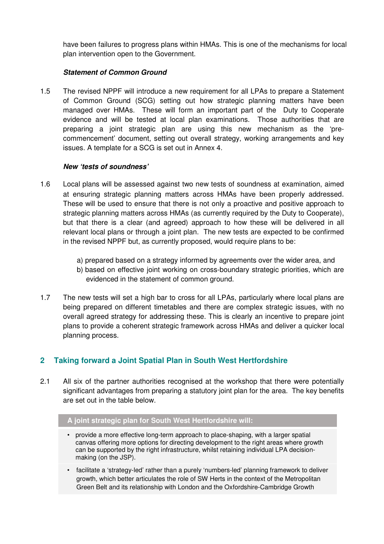have been failures to progress plans within HMAs. This is one of the mechanisms for local plan intervention open to the Government.

# **Statement of Common Ground**

1.5 The revised NPPF will introduce a new requirement for all LPAs to prepare a Statement of Common Ground (SCG) setting out how strategic planning matters have been managed over HMAs. These will form an important part of the Duty to Cooperate evidence and will be tested at local plan examinations. Those authorities that are preparing a joint strategic plan are using this new mechanism as the 'precommencement' document, setting out overall strategy, working arrangements and key issues. A template for a SCG is set out in Annex 4.

## **New 'tests of soundness'**

- 1.6 Local plans will be assessed against two new tests of soundness at examination, aimed at ensuring strategic planning matters across HMAs have been properly addressed. These will be used to ensure that there is not only a proactive and positive approach to strategic planning matters across HMAs (as currently required by the Duty to Cooperate), but that there is a clear (and agreed) approach to how these will be delivered in all relevant local plans or through a joint plan. The new tests are expected to be confirmed in the revised NPPF but, as currently proposed, would require plans to be:
	- a) prepared based on a strategy informed by agreements over the wider area, and
	- b) based on effective joint working on cross-boundary strategic priorities, which are evidenced in the statement of common ground.
- 1.7 The new tests will set a high bar to cross for all LPAs, particularly where local plans are being prepared on different timetables and there are complex strategic issues, with no overall agreed strategy for addressing these. This is clearly an incentive to prepare joint plans to provide a coherent strategic framework across HMAs and deliver a quicker local planning process.

# **2 Taking forward a Joint Spatial Plan in South West Hertfordshire**

2.1 All six of the partner authorities recognised at the workshop that there were potentially significant advantages from preparing a statutory joint plan for the area. The key benefits are set out in the table below.

## **A joint strategic plan for South West Hertfordshire will:**

- provide a more effective long-term approach to place-shaping, with a larger spatial canvas offering more options for directing development to the right areas where growth can be supported by the right infrastructure, whilst retaining individual LPA decisionmaking (on the JSP).
- facilitate a 'strategy-led' rather than a purely 'numbers-led' planning framework to deliver growth, which better articulates the role of SW Herts in the context of the Metropolitan Green Belt and its relationship with London and the Oxfordshire-Cambridge Growth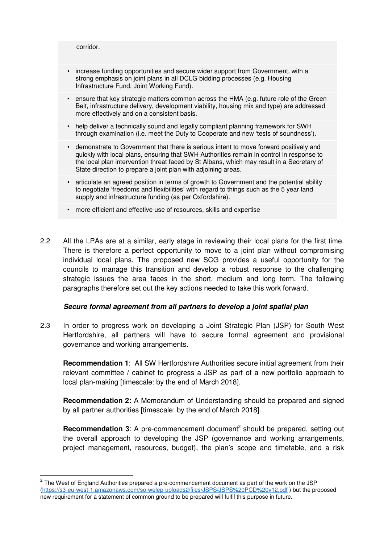corridor.

 $\overline{a}$ 

- increase funding opportunities and secure wider support from Government, with a strong emphasis on joint plans in all DCLG bidding processes (e.g. Housing Infrastructure Fund, Joint Working Fund).
- ensure that key strategic matters common across the HMA (e.g. future role of the Green Belt, infrastructure delivery, development viability, housing mix and type) are addressed more effectively and on a consistent basis.
- help deliver a technically sound and legally compliant planning framework for SWH through examination (i.e. meet the Duty to Cooperate and new 'tests of soundness').
- demonstrate to Government that there is serious intent to move forward positively and quickly with local plans, ensuring that SWH Authorities remain in control in response to the local plan intervention threat faced by St Albans, which may result in a Secretary of State direction to prepare a joint plan with adjoining areas.
- articulate an agreed position in terms of growth to Government and the potential ability to negotiate 'freedoms and flexibilities' with regard to things such as the 5 year land supply and infrastructure funding (as per Oxfordshire).
- more efficient and effective use of resources, skills and expertise
- 2.2 All the LPAs are at a similar, early stage in reviewing their local plans for the first time. There is therefore a perfect opportunity to move to a joint plan without compromising individual local plans. The proposed new SCG provides a useful opportunity for the councils to manage this transition and develop a robust response to the challenging strategic issues the area faces in the short, medium and long term. The following paragraphs therefore set out the key actions needed to take this work forward.

## **Secure formal agreement from all partners to develop a joint spatial plan**

2.3 In order to progress work on developing a Joint Strategic Plan (JSP) for South West Hertfordshire, all partners will have to secure formal agreement and provisional governance and working arrangements.

**Recommendation 1**: All SW Hertfordshire Authorities secure initial agreement from their relevant committee / cabinet to progress a JSP as part of a new portfolio approach to local plan-making [timescale: by the end of March 2018].

**Recommendation 2:** A Memorandum of Understanding should be prepared and signed by all partner authorities [timescale: by the end of March 2018].

Recommendation 3: A pre-commencement document<sup>2</sup> should be prepared, setting out the overall approach to developing the JSP (governance and working arrangements, project management, resources, budget), the plan's scope and timetable, and a risk

 $2$  The West of England Authorities prepared a pre-commencement document as part of the work on the JSP (https://s3-eu-west-1.amazonaws.com/so-welep-uploads2/files/JSPS/JSPS%20PCD%20v12.pdf ) but the proposed new requirement for a statement of common ground to be prepared will fulfil this purpose in future.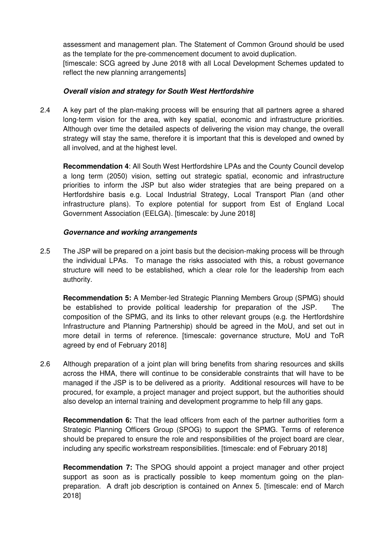assessment and management plan. The Statement of Common Ground should be used as the template for the pre-commencement document to avoid duplication.

[timescale: SCG agreed by June 2018 with all Local Development Schemes updated to reflect the new planning arrangements]

# **Overall vision and strategy for South West Hertfordshire**

2.4 A key part of the plan-making process will be ensuring that all partners agree a shared long-term vision for the area, with key spatial, economic and infrastructure priorities. Although over time the detailed aspects of delivering the vision may change, the overall strategy will stay the same, therefore it is important that this is developed and owned by all involved, and at the highest level.

**Recommendation 4**: All South West Hertfordshire LPAs and the County Council develop a long term (2050) vision, setting out strategic spatial, economic and infrastructure priorities to inform the JSP but also wider strategies that are being prepared on a Hertfordshire basis e.g. Local Industrial Strategy, Local Transport Plan (and other infrastructure plans). To explore potential for support from Est of England Local Government Association (EELGA). [timescale: by June 2018]

# **Governance and working arrangements**

2.5 The JSP will be prepared on a joint basis but the decision-making process will be through the individual LPAs. To manage the risks associated with this, a robust governance structure will need to be established, which a clear role for the leadership from each authority.

**Recommendation 5:** A Member-led Strategic Planning Members Group (SPMG) should be established to provide political leadership for preparation of the JSP. The composition of the SPMG, and its links to other relevant groups (e.g. the Hertfordshire Infrastructure and Planning Partnership) should be agreed in the MoU, and set out in more detail in terms of reference. [timescale: governance structure, MoU and ToR agreed by end of February 2018]

2.6 Although preparation of a joint plan will bring benefits from sharing resources and skills across the HMA, there will continue to be considerable constraints that will have to be managed if the JSP is to be delivered as a priority. Additional resources will have to be procured, for example, a project manager and project support, but the authorities should also develop an internal training and development programme to help fill any gaps.

**Recommendation 6:** That the lead officers from each of the partner authorities form a Strategic Planning Officers Group (SPOG) to support the SPMG. Terms of reference should be prepared to ensure the role and responsibilities of the project board are clear, including any specific workstream responsibilities. [timescale: end of February 2018]

**Recommendation 7:** The SPOG should appoint a project manager and other project support as soon as is practically possible to keep momentum going on the planpreparation. A draft job description is contained on Annex 5. [timescale: end of March 2018]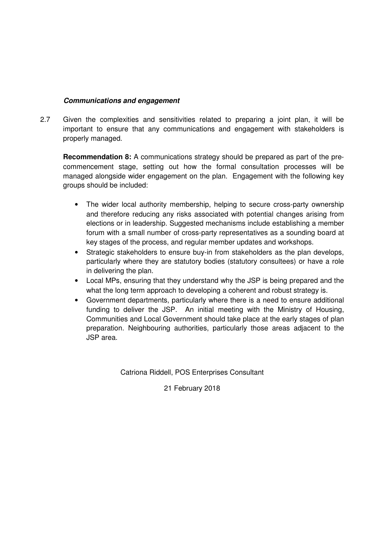# **Communications and engagement**

2.7 Given the complexities and sensitivities related to preparing a joint plan, it will be important to ensure that any communications and engagement with stakeholders is properly managed.

**Recommendation 8:** A communications strategy should be prepared as part of the precommencement stage, setting out how the formal consultation processes will be managed alongside wider engagement on the plan. Engagement with the following key groups should be included:

- The wider local authority membership, helping to secure cross-party ownership and therefore reducing any risks associated with potential changes arising from elections or in leadership. Suggested mechanisms include establishing a member forum with a small number of cross-party representatives as a sounding board at key stages of the process, and regular member updates and workshops.
- Strategic stakeholders to ensure buy-in from stakeholders as the plan develops, particularly where they are statutory bodies (statutory consultees) or have a role in delivering the plan.
- Local MPs, ensuring that they understand why the JSP is being prepared and the what the long term approach to developing a coherent and robust strategy is.
- Government departments, particularly where there is a need to ensure additional funding to deliver the JSP. An initial meeting with the Ministry of Housing, Communities and Local Government should take place at the early stages of plan preparation. Neighbouring authorities, particularly those areas adjacent to the JSP area.

Catriona Riddell, POS Enterprises Consultant

21 February 2018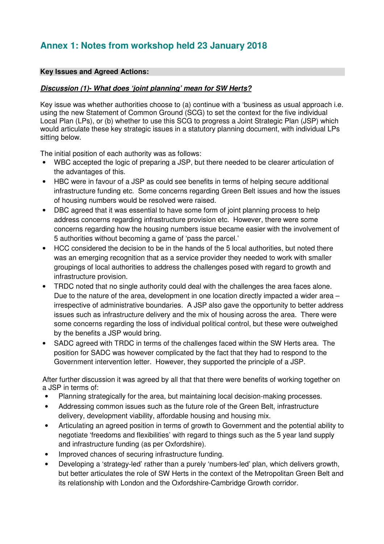# **Annex 1: Notes from workshop held 23 January 2018**

# **Key Issues and Agreed Actions:**

# **Discussion (1)- What does 'joint planning' mean for SW Herts?**

Key issue was whether authorities choose to (a) continue with a 'business as usual approach i.e. using the new Statement of Common Ground (SCG) to set the context for the five individual Local Plan (LPs), or (b) whether to use this SCG to progress a Joint Strategic Plan (JSP) which would articulate these key strategic issues in a statutory planning document, with individual LPs sitting below.

The initial position of each authority was as follows:

- WBC accepted the logic of preparing a JSP, but there needed to be clearer articulation of the advantages of this.
- HBC were in favour of a JSP as could see benefits in terms of helping secure additional infrastructure funding etc. Some concerns regarding Green Belt issues and how the issues of housing numbers would be resolved were raised.
- DBC agreed that it was essential to have some form of joint planning process to help address concerns regarding infrastructure provision etc. However, there were some concerns regarding how the housing numbers issue became easier with the involvement of 5 authorities without becoming a game of 'pass the parcel.'
- HCC considered the decision to be in the hands of the 5 local authorities, but noted there was an emerging recognition that as a service provider they needed to work with smaller groupings of local authorities to address the challenges posed with regard to growth and infrastructure provision.
- TRDC noted that no single authority could deal with the challenges the area faces alone. Due to the nature of the area, development in one location directly impacted a wider area – irrespective of administrative boundaries. A JSP also gave the opportunity to better address issues such as infrastructure delivery and the mix of housing across the area. There were some concerns regarding the loss of individual political control, but these were outweighed by the benefits a JSP would bring.
- SADC agreed with TRDC in terms of the challenges faced within the SW Herts area. The position for SADC was however complicated by the fact that they had to respond to the Government intervention letter. However, they supported the principle of a JSP.

After further discussion it was agreed by all that that there were benefits of working together on a JSP in terms of:

- Planning strategically for the area, but maintaining local decision-making processes.
- Addressing common issues such as the future role of the Green Belt, infrastructure delivery, development viability, affordable housing and housing mix.
- Articulating an agreed position in terms of growth to Government and the potential ability to negotiate 'freedoms and flexibilities' with regard to things such as the 5 year land supply and infrastructure funding (as per Oxfordshire).
- Improved chances of securing infrastructure funding.
- Developing a 'strategy-led' rather than a purely 'numbers-led' plan, which delivers growth, but better articulates the role of SW Herts in the context of the Metropolitan Green Belt and its relationship with London and the Oxfordshire-Cambridge Growth corridor.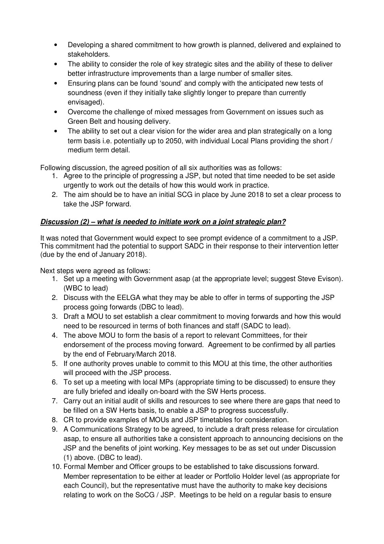- Developing a shared commitment to how growth is planned, delivered and explained to stakeholders.
- The ability to consider the role of key strategic sites and the ability of these to deliver better infrastructure improvements than a large number of smaller sites.
- Ensuring plans can be found 'sound' and comply with the anticipated new tests of soundness (even if they initially take slightly longer to prepare than currently envisaged).
- Overcome the challenge of mixed messages from Government on issues such as Green Belt and housing delivery.
- The ability to set out a clear vision for the wider area and plan strategically on a long term basis i.e. potentially up to 2050, with individual Local Plans providing the short / medium term detail.

Following discussion, the agreed position of all six authorities was as follows:

- 1. Agree to the principle of progressing a JSP, but noted that time needed to be set aside urgently to work out the details of how this would work in practice.
- 2. The aim should be to have an initial SCG in place by June 2018 to set a clear process to take the JSP forward.

# **Discussion (2) – what is needed to initiate work on a joint strategic plan?**

It was noted that Government would expect to see prompt evidence of a commitment to a JSP. This commitment had the potential to support SADC in their response to their intervention letter (due by the end of January 2018).

Next steps were agreed as follows:

- 1. Set up a meeting with Government asap (at the appropriate level; suggest Steve Evison). (WBC to lead)
- 2. Discuss with the EELGA what they may be able to offer in terms of supporting the JSP process going forwards (DBC to lead).
- 3. Draft a MOU to set establish a clear commitment to moving forwards and how this would need to be resourced in terms of both finances and staff (SADC to lead).
- 4. The above MOU to form the basis of a report to relevant Committees, for their endorsement of the process moving forward. Agreement to be confirmed by all parties by the end of February/March 2018.
- 5. If one authority proves unable to commit to this MOU at this time, the other authorities will proceed with the JSP process.
- 6. To set up a meeting with local MPs (appropriate timing to be discussed) to ensure they are fully briefed and ideally on-board with the SW Herts process.
- 7. Carry out an initial audit of skills and resources to see where there are gaps that need to be filled on a SW Herts basis, to enable a JSP to progress successfully.
- 8. CR to provide examples of MOUs and JSP timetables for consideration.
- 9. A Communications Strategy to be agreed, to include a draft press release for circulation asap, to ensure all authorities take a consistent approach to announcing decisions on the JSP and the benefits of joint working. Key messages to be as set out under Discussion (1) above. (DBC to lead).
- 10. Formal Member and Officer groups to be established to take discussions forward. Member representation to be either at leader or Portfolio Holder level (as appropriate for each Council), but the representative must have the authority to make key decisions relating to work on the SoCG / JSP. Meetings to be held on a regular basis to ensure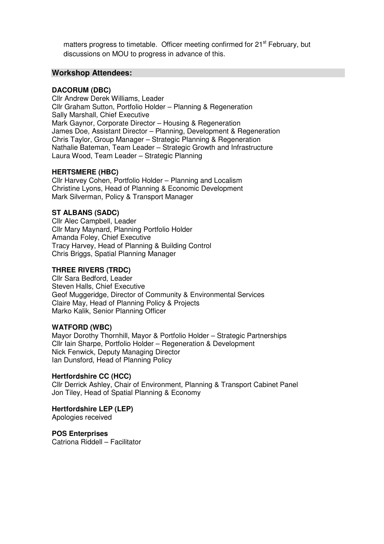matters progress to timetable. Officer meeting confirmed for 21<sup>st</sup> February, but discussions on MOU to progress in advance of this.

## **Workshop Attendees:**

#### **DACORUM (DBC)**

Cllr Andrew Derek Williams, Leader Cllr Graham Sutton, Portfolio Holder – Planning & Regeneration Sally Marshall, Chief Executive Mark Gaynor, Corporate Director – Housing & Regeneration James Doe, Assistant Director – Planning, Development & Regeneration Chris Taylor, Group Manager – Strategic Planning & Regeneration Nathalie Bateman, Team Leader – Strategic Growth and Infrastructure Laura Wood, Team Leader – Strategic Planning

#### **HERTSMERE (HBC)**

Cllr Harvey Cohen, Portfolio Holder – Planning and Localism Christine Lyons, Head of Planning & Economic Development Mark Silverman, Policy & Transport Manager

#### **ST ALBANS (SADC)**

Cllr Alec Campbell, Leader Cllr Mary Maynard, Planning Portfolio Holder Amanda Foley, Chief Executive Tracy Harvey, Head of Planning & Building Control Chris Briggs, Spatial Planning Manager

#### **THREE RIVERS (TRDC)**

Cllr Sara Bedford, Leader Steven Halls, Chief Executive Geof Muggeridge, Director of Community & Environmental Services Claire May, Head of Planning Policy & Projects Marko Kalik, Senior Planning Officer

#### **WATFORD (WBC)**

Mayor Dorothy Thornhill, Mayor & Portfolio Holder – Strategic Partnerships Cllr Iain Sharpe, Portfolio Holder – Regeneration & Development Nick Fenwick, Deputy Managing Director Ian Dunsford, Head of Planning Policy

#### **Hertfordshire CC (HCC)**

Cllr Derrick Ashley, Chair of Environment, Planning & Transport Cabinet Panel Jon Tiley, Head of Spatial Planning & Economy

**Hertfordshire LEP (LEP)**  Apologies received

**POS Enterprises**  Catriona Riddell – Facilitator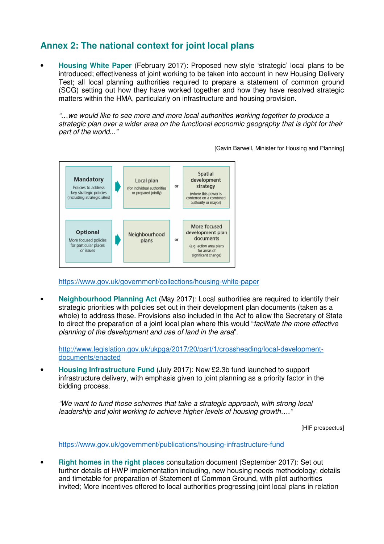# **Annex 2: The national context for joint local plans**

• **Housing White Paper** (February 2017): Proposed new style 'strategic' local plans to be introduced; effectiveness of joint working to be taken into account in new Housing Delivery Test; all local planning authorities required to prepare a statement of common ground (SCG) setting out how they have worked together and how they have resolved strategic matters within the HMA, particularly on infrastructure and housing provision.

"…we would like to see more and more local authorities working together to produce a strategic plan over a wider area on the functional economic geography that is right for their part of the world..."

[Gavin Barwell, Minister for Housing and Planning]



https://www.gov.uk/government/collections/housing-white-paper

• **Neighbourhood Planning Act** (May 2017): Local authorities are required to identify their strategic priorities with policies set out in their development plan documents (taken as a whole) to address these. Provisions also included in the Act to allow the Secretary of State to direct the preparation of a joint local plan where this would "facilitate the more effective planning of the development and use of land in the area".

http://www.legislation.gov.uk/ukpga/2017/20/part/1/crossheading/local-developmentdocuments/enacted

• **Housing Infrastructure Fund** (July 2017): New £2.3b fund launched to support infrastructure delivery, with emphasis given to joint planning as a priority factor in the bidding process.

"We want to fund those schemes that take a strategic approach, with strong local leadership and joint working to achieve higher levels of housing growth…."

[HIF prospectus]

https://www.gov.uk/government/publications/housing-infrastructure-fund

• **Right homes in the right places** consultation document (September 2017): Set out further details of HWP implementation including, new housing needs methodology; details and timetable for preparation of Statement of Common Ground, with pilot authorities invited; More incentives offered to local authorities progressing joint local plans in relation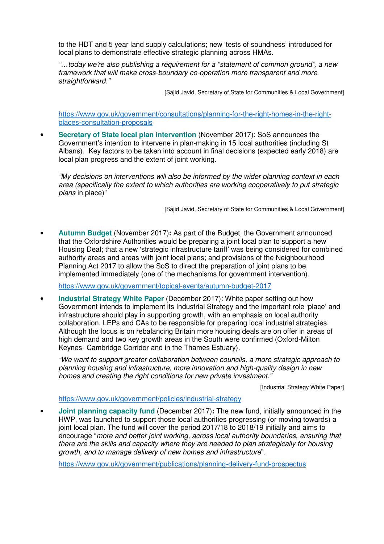to the HDT and 5 year land supply calculations; new 'tests of soundness' introduced for local plans to demonstrate effective strategic planning across HMAs.

"…today we're also publishing a requirement for a "statement of common ground", a new framework that will make cross-boundary co-operation more transparent and more straightforward."

[Sajid Javid, Secretary of State for Communities & Local Government]

https://www.gov.uk/government/consultations/planning-for-the-right-homes-in-the-rightplaces-consultation-proposals

• **Secretary of State local plan intervention** (November 2017): SoS announces the Government's intention to intervene in plan-making in 15 local authorities (including St Albans). Key factors to be taken into account in final decisions (expected early 2018) are local plan progress and the extent of joint working.

"My decisions on interventions will also be informed by the wider planning context in each area (specifically the extent to which authorities are working cooperatively to put strategic plans in place)"

[Sajid Javid, Secretary of State for Communities & Local Government]

• **Autumn Budget** (November 2017)**:** As part of the Budget, the Government announced that the Oxfordshire Authorities would be preparing a joint local plan to support a new Housing Deal; that a new 'strategic infrastructure tariff' was being considered for combined authority areas and areas with joint local plans; and provisions of the Neighbourhood Planning Act 2017 to allow the SoS to direct the preparation of joint plans to be implemented immediately (one of the mechanisms for government intervention).

https://www.gov.uk/government/topical-events/autumn-budget-2017

• **Industrial Strategy White Paper** (December 2017): White paper setting out how Government intends to implement its Industrial Strategy and the important role 'place' and infrastructure should play in supporting growth, with an emphasis on local authority collaboration. LEPs and CAs to be responsible for preparing local industrial strategies. Although the focus is on rebalancing Britain more housing deals are on offer in areas of high demand and two key growth areas in the South were confirmed (Oxford-Milton Keynes- Cambridge Corridor and in the Thames Estuary).

"We want to support greater collaboration between councils, a more strategic approach to planning housing and infrastructure, more innovation and high-quality design in new homes and creating the right conditions for new private investment."

[Industrial Strategy White Paper]

#### https://www.gov.uk/government/policies/industrial-strategy

• **Joint planning capacity fund** (December 2017)**:** The new fund, initially announced in the HWP, was launched to support those local authorities progressing (or moving towards) a joint local plan. The fund will cover the period 2017/18 to 2018/19 initially and aims to encourage "more and better joint working, across local authority boundaries, ensuring that there are the skills and capacity where they are needed to plan strategically for housing growth, and to manage delivery of new homes and infrastructure".

https://www.gov.uk/government/publications/planning-delivery-fund-prospectus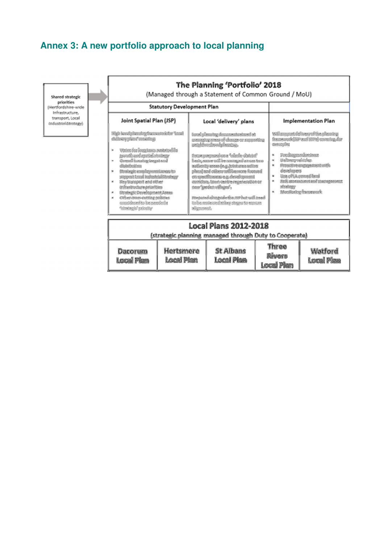# **Annex 3: A new portfolio approach to local planning**

Shared strategic<br>priorities<br>(Hertfordshire-wide Infrastructure, transport, Local<br>Industrial Strategy

| The Planning 'Portfolio' 2018<br>(Managed through a Statement of Common Ground / MoU)                                                                                                                                                                                                                                                                                                                                  |                                                                                                                                                                                                                                                                                                                                                                                                                                                     |                                                                                                                                                                                                                                                                                                                 |  |  |  |
|------------------------------------------------------------------------------------------------------------------------------------------------------------------------------------------------------------------------------------------------------------------------------------------------------------------------------------------------------------------------------------------------------------------------|-----------------------------------------------------------------------------------------------------------------------------------------------------------------------------------------------------------------------------------------------------------------------------------------------------------------------------------------------------------------------------------------------------------------------------------------------------|-----------------------------------------------------------------------------------------------------------------------------------------------------------------------------------------------------------------------------------------------------------------------------------------------------------------|--|--|--|
| <b>Statutory Development Plan</b>                                                                                                                                                                                                                                                                                                                                                                                      |                                                                                                                                                                                                                                                                                                                                                                                                                                                     |                                                                                                                                                                                                                                                                                                                 |  |  |  |
| Joint Spatial Plan (JSP)                                                                                                                                                                                                                                                                                                                                                                                               | Local 'delivery' plans                                                                                                                                                                                                                                                                                                                                                                                                                              | <b>Implementation Plan</b>                                                                                                                                                                                                                                                                                      |  |  |  |
| High local glassics is a series of the face.<br>ddiwydad condog<br>Waten fer forskeien matcherfilo<br>postberi quid delvar<br>Comell hunday begak sed<br>dharbuttun<br>The forgive complete noted at one in<br>ummattad bubatolikanan<br>Key transport and other<br>æ.<br>indicative that arise flies.<br>Stodugic Development Acces<br>Cline mon-outton solding<br>come describe ha membris<br>*drades as a statistic | teral phonong departments at<br>untang una sé chara at namatira<br>welchen in der Arbeiten<br>fana paganden a 'elaft-datek'<br>facto, como vall be contegutó canon terr<br>talianity unnes (e.g. (statures refion<br>phasicand colorer militarements from and<br>en medianen ag inväquand<br>engidae. Jaun ventre reamentan ar<br>nas moko vēnas".<br>FrancadaSongsiderGan 1919 but will need<br>to be make redations deposits we can<br>algebrach. | toli rappet delivery of the planning<br>fransaddiw auf 1976 cording for<br><b>Controllering</b><br>Postingers for these<br>Urilaya volting<br>86<br>Province presented<br>孋<br><i>énadones</i><br>the ofta comedient<br>儠<br>PRIX access meet and management<br>家<br><b>RECORDS</b><br>Wandorks: Garnework<br>家 |  |  |  |
| <b>Local Plans 2012-2018</b><br>(strategic planning managed through Duty to Cooperate)                                                                                                                                                                                                                                                                                                                                 |                                                                                                                                                                                                                                                                                                                                                                                                                                                     |                                                                                                                                                                                                                                                                                                                 |  |  |  |

| Dacorum    | Hertsmere        | <b>St Albans</b>  | Three             | Wotford    |
|------------|------------------|-------------------|-------------------|------------|
| local Plun | <b>Local Man</b> | <b>Local Pien</b> | Rivers            | Local Plan |
|            |                  |                   | <b>Local Plan</b> |            |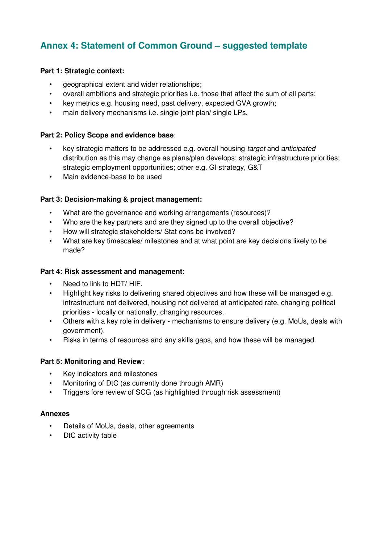# **Annex 4: Statement of Common Ground – suggested template**

# **Part 1: Strategic context:**

- geographical extent and wider relationships;
- overall ambitions and strategic priorities i.e. those that affect the sum of all parts;
- key metrics e.g. housing need, past delivery, expected GVA growth;
- main delivery mechanisms i.e. single joint plan/ single LPs.

# **Part 2: Policy Scope and evidence base**:

- key strategic matters to be addressed e.g. overall housing target and anticipated distribution as this may change as plans/plan develops; strategic infrastructure priorities; strategic employment opportunities; other e.g. GI strategy, G&T
- Main evidence-base to be used

# **Part 3: Decision-making & project management:**

- What are the governance and working arrangements (resources)?
- Who are the key partners and are they signed up to the overall objective?
- How will strategic stakeholders/ Stat cons be involved?
- What are key timescales/ milestones and at what point are key decisions likely to be made?

## **Part 4: Risk assessment and management:**

- Need to link to HDT/ HIF.
- Highlight key risks to delivering shared objectives and how these will be managed e.g. infrastructure not delivered, housing not delivered at anticipated rate, changing political priorities - locally or nationally, changing resources.
- Others with a key role in delivery mechanisms to ensure delivery (e.g. MoUs, deals with government).
- Risks in terms of resources and any skills gaps, and how these will be managed.

## **Part 5: Monitoring and Review**:

- Key indicators and milestones
- Monitoring of DtC (as currently done through AMR)
- Triggers fore review of SCG (as highlighted through risk assessment)

## **Annexes**

- Details of MoUs, deals, other agreements
- DtC activity table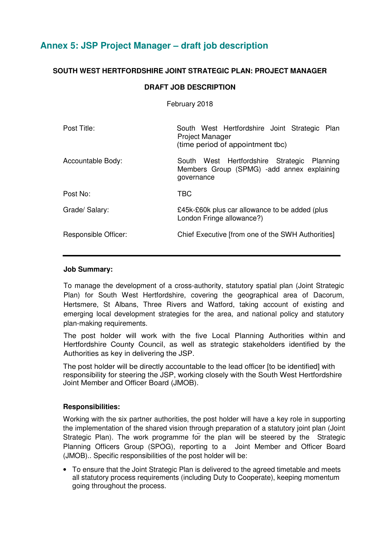# **Annex 5: JSP Project Manager – draft job description**

# **SOUTH WEST HERTFORDSHIRE JOINT STRATEGIC PLAN: PROJECT MANAGER**

# **DRAFT JOB DESCRIPTION**

February 2018

| Post Title:          | South West Hertfordshire Joint Strategic Plan<br><b>Project Manager</b><br>(time period of appointment tbc) |  |
|----------------------|-------------------------------------------------------------------------------------------------------------|--|
| Accountable Body:    | South West Hertfordshire Strategic<br>Planning<br>Members Group (SPMG) -add annex explaining<br>governance  |  |
| Post No:             | TBC                                                                                                         |  |
| Grade/ Salary:       | £45k-£60k plus car allowance to be added (plus<br>London Fringe allowance?)                                 |  |
| Responsible Officer: | Chief Executive [from one of the SWH Authorities]                                                           |  |

#### **Job Summary:**

To manage the development of a cross-authority, statutory spatial plan (Joint Strategic Plan) for South West Hertfordshire, covering the geographical area of Dacorum, Hertsmere, St Albans, Three Rivers and Watford, taking account of existing and emerging local development strategies for the area, and national policy and statutory plan-making requirements.

The post holder will work with the five Local Planning Authorities within and Hertfordshire County Council, as well as strategic stakeholders identified by the Authorities as key in delivering the JSP.

The post holder will be directly accountable to the lead officer [to be identified] with responsibility for steering the JSP, working closely with the South West Hertfordshire Joint Member and Officer Board (JMOB).

## **Responsibilities:**

Working with the six partner authorities, the post holder will have a key role in supporting the implementation of the shared vision through preparation of a statutory joint plan (Joint Strategic Plan). The work programme for the plan will be steered by the Strategic Planning Officers Group (SPOG), reporting to a Joint Member and Officer Board (JMOB).. Specific responsibilities of the post holder will be:

• To ensure that the Joint Strategic Plan is delivered to the agreed timetable and meets all statutory process requirements (including Duty to Cooperate), keeping momentum going throughout the process.